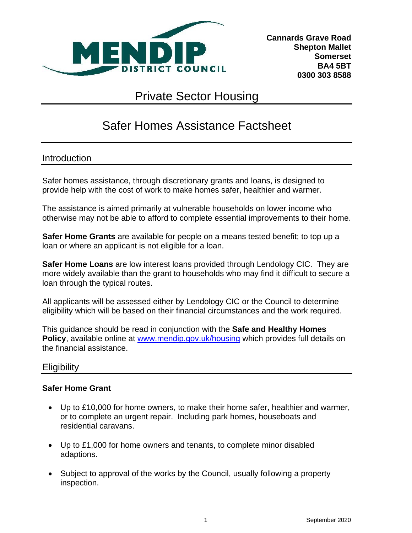

**Cannards Grave Road Shepton Mallet Somerset BA4 5BT 0300 303 8588**

# Private Sector Housing

# Safer Homes Assistance Factsheet

## Introduction

Safer homes assistance, through discretionary grants and loans, is designed to provide help with the cost of work to make homes safer, healthier and warmer.

The assistance is aimed primarily at vulnerable households on lower income who otherwise may not be able to afford to complete essential improvements to their home.

**Safer Home Grants** are available for people on a means tested benefit; to top up a loan or where an applicant is not eligible for a loan.

**Safer Home Loans** are low interest loans provided through Lendology CIC. They are more widely available than the grant to households who may find it difficult to secure a loan through the typical routes.

All applicants will be assessed either by Lendology CIC or the Council to determine eligibility which will be based on their financial circumstances and the work required.

This guidance should be read in conjunction with the **Safe and Healthy Homes Policy**, available online at [www.mendip.gov.uk/housing](http://www.mendip.gov.uk/housing) which provides full details on the financial assistance.

## **Eligibility**

#### **Safer Home Grant**

- Up to £10,000 for home owners, to make their home safer, healthier and warmer, or to complete an urgent repair. Including park homes, houseboats and residential caravans.
- Up to £1,000 for home owners and tenants, to complete minor disabled adaptions.
- Subject to approval of the works by the Council, usually following a property inspection.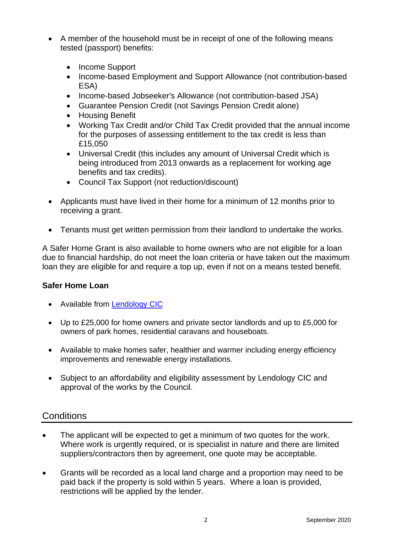- A member of the household must be in receipt of one of the following means tested (passport) benefits:
	- Income Support
	- Income-based Employment and Support Allowance (not contribution-based ESA)
	- Income-based Jobseeker's Allowance (not contribution-based JSA)
	- Guarantee Pension Credit (not Savings Pension Credit alone)
	- Housing Benefit
	- Working Tax Credit and/or Child Tax Credit provided that the annual income for the purposes of assessing entitlement to the tax credit is less than £15,050
	- Universal Credit (this includes any amount of Universal Credit which is being introduced from 2013 onwards as a replacement for working age benefits and tax credits).
	- Council Tax Support (not reduction/discount)
- Applicants must have lived in their home for a minimum of 12 months prior to receiving a grant.
- Tenants must get written permission from their landlord to undertake the works.

A Safer Home Grant is also available to home owners who are not eligible for a loan due to financial hardship, do not meet the loan criteria or have taken out the maximum loan they are eligible for and require a top up, even if not on a means tested benefit.

#### **Safer Home Loan**

- Available from [Lendology CIC](http://www.lendology.org.uk/index.php)
- Up to £25,000 for home owners and private sector landlords and up to £5,000 for owners of park homes, residential caravans and houseboats.
- Available to make homes safer, healthier and warmer including energy efficiency improvements and renewable energy installations.
- Subject to an affordability and eligibility assessment by Lendology CIC and approval of the works by the Council.

# **Conditions**

- The applicant will be expected to get a minimum of two quotes for the work. Where work is urgently required, or is specialist in nature and there are limited suppliers/contractors then by agreement, one quote may be acceptable.
- Grants will be recorded as a local land charge and a proportion may need to be paid back if the property is sold within 5 years. Where a loan is provided, restrictions will be applied by the lender.